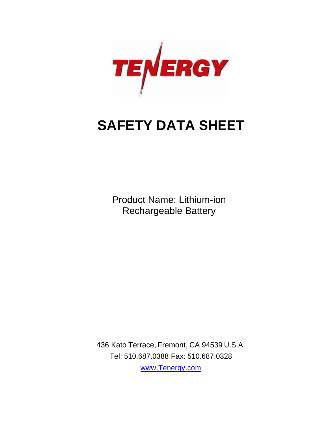

# **SAFETY DATA SHEET**

Product Name: Lithium-ion Rechargeable Battery

436 Kato Terrace, Fremont, CA 94539 U.S.A. Tel: 510.687.0388 Fax: 510.687.0328

[www.Tenergy.com](http://www.tenergy.com/)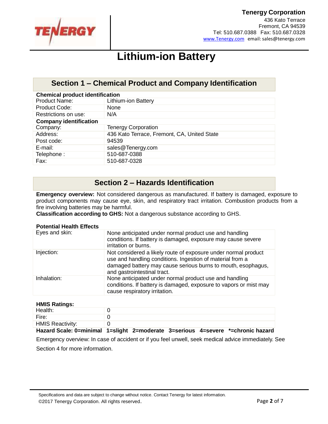

436 Kato Terrace Fremont, CA 94539 Tel: 510.687.0388 Fax: 510.687.0328 www.Tenergy.com email: sales@tenergy.com

## **Lithium-ion Battery**

## **Section 1 – Chemical Product and Company Identification**

| <b>Chemical product identification</b> |                                             |  |
|----------------------------------------|---------------------------------------------|--|
| <b>Product Name:</b>                   | <b>Lithium-ion Battery</b>                  |  |
| Product Code:                          | None                                        |  |
| Restrictions on use:                   | N/A                                         |  |
| <b>Company identification</b>          |                                             |  |
| Company:                               | <b>Tenergy Corporation</b>                  |  |
| Address:                               | 436 Kato Terrace, Fremont, CA, United State |  |
| Post code:                             | 94539                                       |  |
| E-mail:                                | sales@Tenergy.com                           |  |
| Telephone:                             | 510-687-0388                                |  |
| Fax:                                   | 510-687-0328                                |  |

## **Section 2 – Hazards Identification**

**Emergency overview:** Not considered dangerous as manufactured. If battery is damaged, exposure to product components may cause eye, skin, and respiratory tract irritation. Combustion products from a fire involving batteries may be harmful.

**Classification according to GHS:** Not a dangerous substance according to GHS.

#### **Potential Health Effects**

| Eyes and skin: | None anticipated under normal product use and handling<br>conditions. If battery is damaged, exposure may cause severe<br>irritation or burns.                                                                             |
|----------------|----------------------------------------------------------------------------------------------------------------------------------------------------------------------------------------------------------------------------|
| Injection:     | Not considered a likely route of exposure under normal product<br>use and handling conditions. Ingestion of material from a<br>damaged battery may cause serious burns to mouth, esophagus,<br>and gastrointestinal tract. |
| Inhalation:    | None anticipated under normal product use and handling<br>conditions. If battery is damaged, exposure to vapors or mist may<br>cause respiratory irritation.                                                               |

#### **HMIS Ratings:**

| Health:                 |                                                                                                    |
|-------------------------|----------------------------------------------------------------------------------------------------|
| Fire:                   |                                                                                                    |
| <b>HMIS Reactivity:</b> |                                                                                                    |
|                         | The sud Oxeler A publicated attacks. A produced a A section of the control of all products because |

**Hazard Scale: 0=minimal 1=slight 2=moderate 3=serious 4=severe \*=chronic hazard**

Emergency overview: In case of accident or if you feel unwell, seek medical advice immediately. See Section 4 for more information.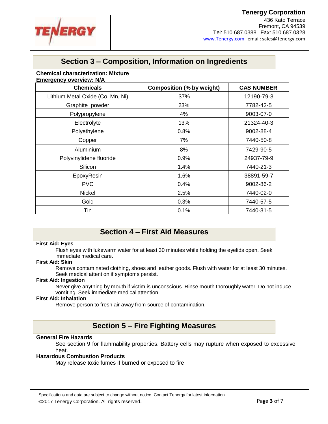

436 Kato Terrace Fremont, CA 94539 Tel: 510.687.0388 Fax: 510.687.0328 www.Tenergy.com email: sales@tenergy.com

## **Section 3 – Composition, Information on Ingredients**

#### **Chemical characterization: Mixture**

| <b>Chemicals</b>                 | <b>Composition (% by weight)</b> | <b>CAS NUMBER</b> |
|----------------------------------|----------------------------------|-------------------|
| Lithium Metal Oxide (Co, Mn, Ni) | 37%                              | 12190-79-3        |
| Graphite powder                  | 23%                              | 7782-42-5         |
| Polypropylene                    | 4%                               | 9003-07-0         |
| Electrolyte                      | 13%                              | 21324-40-3        |
| Polyethylene                     | 0.8%                             | 9002-88-4         |
| Copper                           | 7%                               | 7440-50-8         |
| Aluminium                        | 8%                               | 7429-90-5         |
| Polyvinylidene fluoride          | 0.9%                             | 24937-79-9        |
| Silicon                          | 1.4%                             | 7440-21-3         |
| EpoxyResin                       | 1.6%                             | 38891-59-7        |
| <b>PVC</b>                       | 0.4%                             | 9002-86-2         |
| <b>Nickel</b>                    | 2.5%                             | 7440-02-0         |
| Gold                             | 0.3%                             | 7440-57-5         |
| Tin                              | 0.1%                             | 7440-31-5         |

## **Section 4 – First Aid Measures**

#### **First Aid: Eyes**

Flush eyes with lukewarm water for at least 30 minutes while holding the eyelids open. Seek immediate medical care.

#### **First Aid: Skin**

Remove contaminated clothing, shoes and leather goods. Flush with water for at least 30 minutes. Seek medical attention if symptoms persist.

#### **First Aid: Ingestion**

Never give anything by mouth if victim is unconscious. Rinse mouth thoroughly water. Do not induce vomiting. Seek immediate medical attention.

#### **First Aid: Inhalation**

Remove person to fresh air away from source of contamination.

## **Section 5 – Fire Fighting Measures**

#### **General Fire Hazards**

See section 9 for flammability properties. Battery cells may rupture when exposed to excessive heat.

#### **Hazardous Combustion Products**

May release toxic fumes if burned or exposed to fire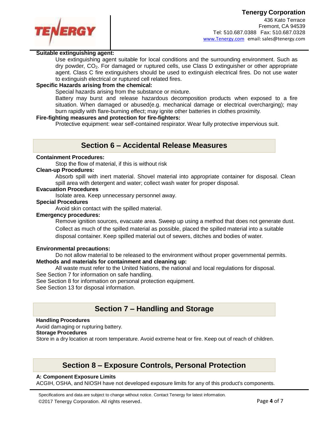

#### **Suitable extinguishing agent:**

Use extinguishing agent suitable for local conditions and the surrounding environment. Such as  $\text{div}$  powder,  $CO<sub>2</sub>$ . For damaged or ruptured cells, use Class D extinguisher or other appropriate agent. Class C fire extinguishers should be used to extinguish electrical fires. Do not use water to extinguish electrical or ruptured cell related fires.

#### **Specific Hazards arising from the chemical:**

Special hazards arising from the substance or mixture.

Battery may burst and release hazardous decomposition products when exposed to a fire situation. When damaged or abused(e.g. mechanical damage or electrical overcharging); may burn rapidly with flare-burning effect; may ignite other batteries in clothes proximity.

#### **Fire-fighting measures and protection for fire-fighters:**

Protective equipment: wear self-contained respirator. Wear fully protective impervious suit.

## **Section 6 – Accidental Release Measures**

#### **Containment Procedures:**

Stop the flow of material, if this is without risk

#### **Clean-up Procedures:**

Absorb spill with inert material. Shovel material into appropriate container for disposal. Clean spill area with detergent and water; collect wash water for proper disposal.

#### **Evacuation Procedures**

Isolate area. Keep unnecessary personnel away.

#### **Special Procedures**

Avoid skin contact with the spilled material.

#### **Emergency procedures:**

Remove ignition sources, evacuate area. Sweep up using a method that does not generate dust. Collect as much of the spilled material as possible, placed the spilled material into a suitable disposal container. Keep spilled material out of sewers, ditches and bodies of water.

#### **Environmental precautions:**

Do not allow material to be released to the environment without proper governmental permits.

#### **Methods and materials for containment and cleaning up:**

All waste must refer to the United Nations, the national and local regulations for disposal.

See Section 7 for information on safe handling.

See Section 8 for information on personal protection equipment.

See Section 13 for disposal information.

## **Section 7 – Handling and Storage**

#### **Handling Procedures**

Avoid damaging or rupturing battery.

#### **Storage Procedures**

Store in a dry location at room temperature. Avoid extreme heat or fire. Keep out of reach of children.

## **Section 8 – Exposure Controls, Personal Protection**

#### **A: Component Exposure Limits**

ACGIH, OSHA, and NIOSH have not developed exposure limits for any of this product's components.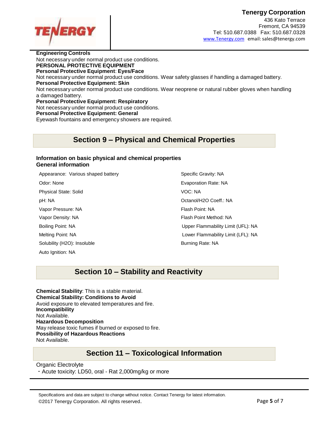

436 Kato Terrace Fremont, CA 94539 Tel: 510.687.0388 Fax: 510.687.0328 www.Tenergy.com email: sales@tenergy.com

**Engineering Controls** Not necessary under normal product use conditions. **PERSONAL PROTECTIVE EQUIPMENT Personal Protective Equipment**: **Eyes/Face** Not necessary under normal product use conditions. Wear safety glasses if handling a damaged battery. **Personal Protective Equipment: Skin** Not necessary under normal product use conditions. Wear neoprene or natural rubber gloves when handling a damaged battery. **Personal Protective Equipment: Respiratory** Not necessary under normal product use conditions. **Personal Protective Equipment: General** Eyewash fountains and emergency showers are required.

## **Section 9 – Physical and Chemical Properties**

#### **Information on basic physical and chemical properties General information**

| Appearance: Various shaped battery | Specific Gravity: NA   |
|------------------------------------|------------------------|
| Odor: None                         | Evaporation Rate: NA   |
| <b>Physical State: Solid</b>       | VOC: NA                |
| pH: NA                             | Octanol/H2O Coeff.: N  |
| Vapor Pressure: NA                 | Flash Point: NA        |
| Vapor Density: NA                  | Flash Point Method: N. |
| Boiling Point: NA                  | Upper Flammability Li  |
| Melting Point: NA                  | Lower Flammability Li  |
| Solubility (H2O): Insoluble        | Burning Rate: NA       |
| Auto Ignition: NA                  |                        |

O Coeff.: NA Method: NA mability Limit (UFL): NA nmability Limit (LFL): NA

## **Section 10 – Stability and Reactivity**

**Chemical Stability**: This is a stable material. **Chemical Stability: Conditions to Avoid** Avoid exposure to elevated temperatures and fire. **Incompatibility** Not Available. **Hazardous Decomposition** May release toxic fumes if burned or exposed to fire. **Possibility of Hazardous Reactions** Not Available.

## **Section 11 – Toxicological Information**

#### Organic Electrolyte

・Acute toxicity: LD50, oral - Rat 2,000mg/kg or more

Specifications and data are subject to change without notice. Contact Tenergy for latest information. ©2017 Tenergy Corporation. All rights reserved. Page **5** of 7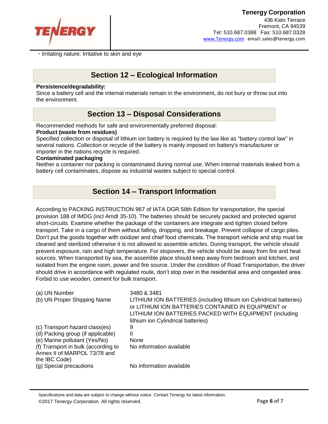

・Irritating nature: Irritative to skin and eye

## **Section 12 – Ecological Information**

#### **Persistence/degradability:**

Since a battery cell and the internal materials remain in the environment, do not bury or throw out into the environment.

## **Section 13 – Disposal Considerations**

Recommended methods for safe and environmentally preferred disposal:

#### **Product (waste from residues)**

Specified collection or disposal of lithium ion battery is required by the law like as "battery control law" in several nations. Collection or recycle of the battery is mainly imposed on battery's manufacturer or importer in the nations recycle is required.

#### **Contaminated packaging**

Neither a container nor packing is contaminated during normal use. When internal materials leaked from a battery cell contaminates, dispose as industrial wastes subject to special control.

## **Section 14 – Transport Information**

According to PACKING INSTRUCTION 967 of IATA DGR 58th Edition for transportation, the special provision 188 of IMDG (incl Amdt 35-10). The batteries should be securely packed and protected against short-circuits. Examine whether the package of the containers are integrate and tighten closed before transport. Take in a cargo of them without falling, dropping, and breakage. Prevent collapse of cargo piles. Don't put the goods together with oxidizer and chief food chemicals. The transport vehicle and ship must be cleaned and sterilized otherwise it is not allowed to assemble articles. During transport, the vehicle should prevent exposure, rain and high temperature. For stopovers, the vehicle should be away from fire and heat sources. When transported by sea, the assemble place should keep away from bedroom and kitchen, and isolated from the engine room, power and fire source. Under the condition of Road Transportation, the driver should drive in accordance with regulated route, don't stop over in the residential area and congested area. Forbid to use wooden, cement for bulk transport.

| (a) UN Number                                                       | 3480 & 3481                                                                                                                                                                         |
|---------------------------------------------------------------------|-------------------------------------------------------------------------------------------------------------------------------------------------------------------------------------|
| (b) UN Proper Shipping Name                                         | LITHIUM ION BATTERIES (including lithium ion Cylindrical batteries)<br>or LITHIUM ION BATTERIES CONTAINED IN EQUIPMENT or<br>LITHIUM ION BATTERIES PACKED WITH EQUIPMENT (including |
|                                                                     | lithium ion Cylindrical batteries)                                                                                                                                                  |
| (c) Transport hazard class(es)                                      | 9                                                                                                                                                                                   |
| (d) Packing group (if applicable)                                   | Ш                                                                                                                                                                                   |
| (e) Marine pollutant (Yes/No)                                       | None                                                                                                                                                                                |
| (f) Transport in bulk (according to<br>Annex II of MARPOL 73/78 and | No information available                                                                                                                                                            |
| the IBC Code)                                                       |                                                                                                                                                                                     |
| (g) Special precautions                                             | No information available                                                                                                                                                            |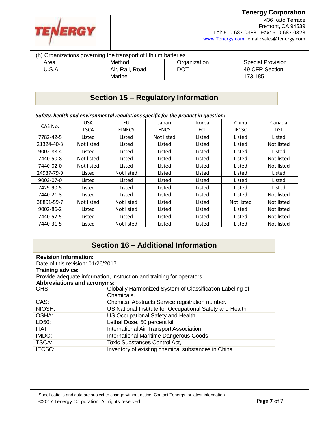

| (h) Organizations governing the transport of lithium batteries |                  |              |                          |
|----------------------------------------------------------------|------------------|--------------|--------------------------|
| Area                                                           | Method           | Organization | <b>Special Provision</b> |
| U.S.A                                                          | Air, Rail, Road, | DOT          | 49 CFR Section           |
|                                                                | Marine           |              | 173.185                  |

## **Section 15 – Regulatory Information**

*Safety, health and environmental regulations specific for the product in question:*

| <b>USA</b><br>CAS No.<br><b>TSCA</b> |            | EU            | Japan       | Korea      | China        | Canada     |
|--------------------------------------|------------|---------------|-------------|------------|--------------|------------|
|                                      |            | <b>EINECS</b> | <b>ENCS</b> | <b>ECL</b> | <b>IECSC</b> | <b>DSL</b> |
| 7782-42-5                            | Listed     | Listed        | Not listed  | Listed     | Listed       | Listed     |
| 21324-40-3                           | Not listed | Listed        | Listed      | Listed     | Listed       | Not listed |
| 9002-88-4                            | Listed     | Listed        | Listed      | Listed     | Listed       | Listed     |
| 7440-50-8                            | Not listed | Listed        | Listed      | Listed     | Listed       | Not listed |
| 7440-02-0                            | Not listed | Listed        | Listed      | Listed     | Listed       | Not listed |
| 24937-79-9                           | Listed     | Not listed    | Listed      | Listed     | Listed       | Listed     |
| $9003 - 07 - 0$                      | Listed     | Listed        | Listed      | Listed     | Listed       | Listed     |
| 7429-90-5                            | Listed     | Listed        | Listed      | Listed     | Listed       | Listed     |
| 7440-21-3                            | Listed     | Listed        | Listed      | Listed     | Listed       | Not listed |
| 38891-59-7                           | Not listed | Not listed    | Listed      | Listed     | Not listed   | Not listed |
| $9002 - 86 - 2$                      | Listed     | Not listed    | Listed      | Listed     | Listed       | Not listed |
| 7440-57-5                            | Listed     | Listed        | Listed      | Listed     | Listed       | Not listed |
| 7440-31-5                            | Listed     | Not listed    | Listed      | Listed     | Listed       | Not listed |

## **Section 16 – Additional Information**

| <b>Revision Information:</b><br>Date of this revision: 01/26/2017                                           |                                                                        |  |
|-------------------------------------------------------------------------------------------------------------|------------------------------------------------------------------------|--|
| <b>Training advice:</b>                                                                                     |                                                                        |  |
| Provide adequate information, instruction and training for operators.<br><b>Abbreviations and acronyms:</b> |                                                                        |  |
| GHS:                                                                                                        | Globally Harmonized System of Classification Labeling of<br>Chemicals. |  |
| CAS:                                                                                                        | Chemical Abstracts Service registration number.                        |  |
| NIOSH:                                                                                                      | US National Institute for Occupational Safety and Health               |  |
| OSHA:                                                                                                       | US Occupational Safety and Health                                      |  |
| LD50:                                                                                                       | Lethal Dose, 50 percent kill                                           |  |
| <b>ITAT</b>                                                                                                 | <b>International Air Transport Association</b>                         |  |
| IMDG:                                                                                                       | <b>International Maritime Dangerous Goods</b>                          |  |
| TSCA:                                                                                                       | <b>Toxic Substances Control Act,</b>                                   |  |
| IECSC:                                                                                                      | Inventory of existing chemical substances in China                     |  |